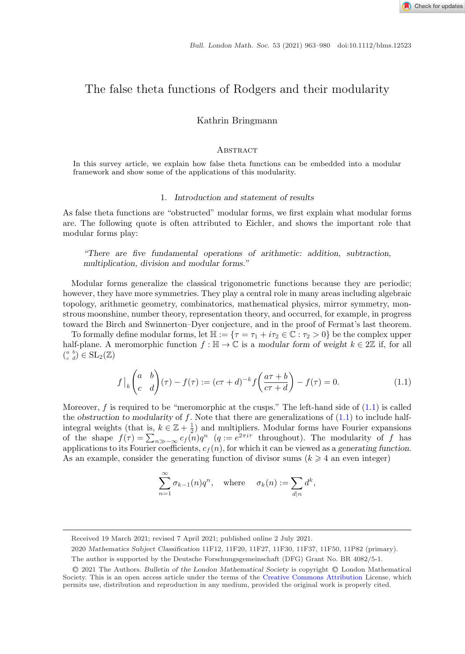# <span id="page-0-0"></span>The false theta functions of Rodgers and their modularity

Kathrin Bringmann

#### **ABSTRACT**

In this survey article, we explain how false theta functions can be embedded into a modular framework and show some of the applications of this modularity.

## 1. *Introduction and statement of results*

As false theta functions are "obstructed" modular forms, we first explain what modular forms are. The following quote is often attributed to Eichler, and shows the important role that modular forms play:

*"There are five fundamental operations of arithmetic: addition, subtraction, multiplication, division and modular forms."*

Modular forms generalize the classical trigonometric functions because they are periodic; however, they have more symmetries. They play a central role in many areas including algebraic topology, arithmetic geometry, combinatorics, mathematical physics, mirror symmetry, monstrous moonshine, number theory, representation theory, and occurred, for example, in progress toward the Birch and Swinnerton–Dyer conjecture, and in the proof of Fermat's last theorem.

To formally define modular forms, let  $\mathbb{H} := {\tau = \tau_1 + i\tau_2 \in \mathbb{C} : \tau_2 > 0}$  be the complex upper half-plane. A meromorphic function  $f : \mathbb{H} \to \mathbb{C}$  is a *modular form of weight*  $k \in 2\mathbb{Z}$  if, for all  $\binom{a & b}{c & d} \in \mathrm{SL}_2(\mathbb{Z})$ 

$$
f\Big|_{k}\begin{pmatrix} a & b \\ c & d \end{pmatrix}(\tau) - f(\tau) := (c\tau + d)^{-k} f\left(\frac{a\tau + b}{c\tau + d}\right) - f(\tau) = 0. \tag{1.1}
$$

Moreover, f is required to be "meromorphic at the cusps." The left-hand side of  $(1.1)$  is called the *obstruction to modularity* of f. Note that there are generalizations of (1.1) to include halfintegral weights (that is,  $k \in \mathbb{Z} + \frac{1}{2}$ ) and multipliers. Modular forms have Fourier expansions of the shape  $f(\tau) = \sum_{n \gg -\infty} c_f(n)q^n$  (q =  $e^{2\pi i \tau}$  throughout). The modularity of f has applications to its Fourier coefficients,  $c_f(n)$ , for which it can be viewed as a *generating function*. As an example, consider the generating function of divisor sums  $(k \geq 4$  an even integer)

$$
\sum_{n=1}^{\infty} \sigma_{k-1}(n) q^n, \quad \text{where} \quad \sigma_k(n) := \sum_{d|n} d^k,
$$

2020 *Mathematics Subject Classification* 11F12, 11F20, 11F27, 11F30, 11F37, 11F50, 11P82 (primary).

Received 19 March 2021; revised 7 April 2021; published online 2 July 2021.

The author is supported by the Deutsche Forschungsgemeinschaft (DFG) Grant No. BR 4082/5-1.

<sup>C</sup>❡2021 The Authors. *Bulletin of the London Mathematical Society* is copyright <sup>C</sup>❡London Mathematical Society. This is an open access article under the terms of the [Creative Commons Attribution](http://creativecommons.org/licenses/by/4.0/) License, which permits use, distribution and reproduction in any medium, provided the original work is properly cited.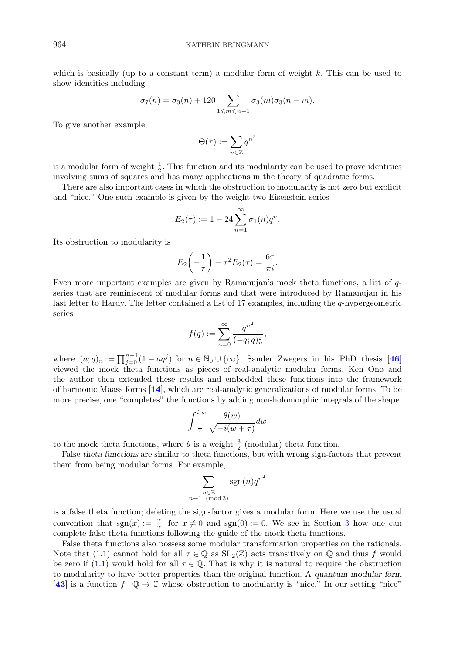which is basically (up to a constant term) a modular form of weight  $k$ . This can be used to show identities including

$$
\sigma_7(n) = \sigma_3(n) + 120 \sum_{1 \le m \le n-1} \sigma_3(m) \sigma_3(n-m).
$$

To give another example,

$$
\Theta(\tau) := \sum_{n \in \mathbb{Z}} q^{n^2}
$$

is a modular form of weight  $\frac{1}{2}$ . This function and its modularity can be used to prove identities involving sums of squares and has many applications in the theory of quadratic forms.

There are also important cases in which the obstruction to modularity is not zero but explicit and "nice." One such example is given by the weight two Eisenstein series

$$
E_2(\tau) := 1 - 24 \sum_{n=1}^{\infty} \sigma_1(n) q^n.
$$

Its obstruction to modularity is

$$
E_2\left(-\frac{1}{\tau}\right) - \tau^2 E_2(\tau) = \frac{6\tau}{\pi i}.
$$

Even more important examples are given by Ramanujan's mock theta functions, a list of  $q$ series that are reminiscent of modular forms and that were introduced by Ramanujan in his last letter to Hardy. The letter contained a list of 17 examples, including the q-hypergeometric series

$$
f(q) := \sum_{n=0}^{\infty} \frac{q^{n^2}}{(-q;q)_n^2},
$$

where  $(a;q)_n := \prod_{j=0}^{n-1} (1 - aq^j)$  for  $n \in \mathbb{N}_0 \cup \{\infty\}$ . Sander Zwegers in his PhD thesis [[46](#page-17-0)] viewed the mock theta functions as pieces of real-analytic modular forms. Ken Ono and the author then extended these results and embedded these functions into the framework of harmonic Maass forms [**[14](#page-16-0)**], which are real-analytic generalizations of modular forms. To be more precise, one "completes" the functions by adding non-holomorphic integrals of the shape

$$
\int_{-\overline{\tau}}^{i\infty} \frac{\theta(w)}{\sqrt{-i(w+\tau)}} dw
$$

to the mock theta functions, where  $\theta$  is a weight  $\frac{3}{2}$  (modular) theta function.

False *theta functions* are similar to theta functions, but with wrong sign-factors that prevent them from being modular forms. For example,

$$
\sum_{\substack{n \in \mathbb{Z} \\ n \equiv 1 \pmod{3}}} \text{sgn}(n) q^{n^2}
$$

is a false theta function; deleting the sign-factor gives a modular form. Here we use the usual convention that  $sgn(x) := \frac{|x|}{x}$  for  $x \neq 0$  and  $sgn(0) := 0$ . We see in Section [3](#page-5-0) how one can complete false theta functions following the guide of the mock theta functions.

False theta functions also possess some modular transformation properties on the rationals. Note that [\(1.1\)](#page-0-0) cannot hold for all  $\tau \in \mathbb{Q}$  as  $SL_2(\mathbb{Z})$  acts transitively on  $\mathbb{Q}$  and thus f would be zero if [\(1.1\)](#page-0-0) would hold for all  $\tau \in \mathbb{Q}$ . That is why it is natural to require the obstruction to modularity to have better properties than the original function. A *quantum modular form* [[43](#page-17-0)] is a function  $f: \mathbb{Q} \to \mathbb{C}$  whose obstruction to modularity is "nice." In our setting "nice"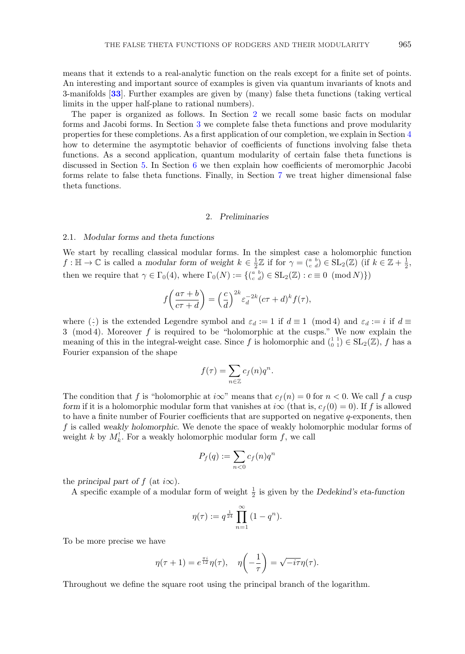means that it extends to a real-analytic function on the reals except for a finite set of points. An interesting and important source of examples is given via quantum invariants of knots and 3-manifolds [**[33](#page-17-0)**]. Further examples are given by (many) false theta functions (taking vertical limits in the upper half-plane to rational numbers).

The paper is organized as follows. In Section 2 we recall some basic facts on modular forms and Jacobi forms. In Section [3](#page-5-0) we complete false theta functions and prove modularity properties for these completions. As a first application of our completion, we explain in Section [4](#page-6-0) how to determine the asymptotic behavior of coefficients of functions involving false theta functions. As a second application, quantum modularity of certain false theta functions is discussed in Section [5.](#page-10-0) In Section [6](#page-11-0) we then explain how coefficients of meromorphic Jacobi forms relate to false theta functions. Finally, in Section [7](#page-14-0) we treat higher dimensional false theta functions.

## 2. *Preliminaries*

#### 2.1. *Modular forms and theta functions*

We start by recalling classical modular forms. In the simplest case a holomorphic function  $f: \mathbb{H} \to \mathbb{C}$  is called a *modular form of weight*  $k \in \frac{1}{2}\mathbb{Z}$  if for  $\gamma = \binom{a}{c}^b \in SL_2(\mathbb{Z})$  (if  $k \in \mathbb{Z} + \frac{1}{2}$ , then we require that  $\gamma \in \Gamma_0(4)$ , where  $\Gamma_0(N) := \{ \begin{pmatrix} a & b \\ c & d \end{pmatrix} \in SL_2(\mathbb{Z}) : c \equiv 0 \pmod{N} \}$ 

$$
f\left(\frac{a\tau+b}{c\tau+d}\right) = \left(\frac{c}{d}\right)^{2k} \varepsilon_d^{-2k} (c\tau+d)^k f(\tau),
$$

where  $\begin{pmatrix} \cdot \\ \cdot \end{pmatrix}$  is the extended Legendre symbol and  $\varepsilon_d := 1$  if  $d \equiv 1 \pmod{4}$  and  $\varepsilon_d := i$  if  $d \equiv 2 \pmod{4}$ 3 (mod 4). Moreover f is required to be "holomorphic at the cusps." We now explain the meaning of this in the integral-weight case. Since f is holomorphic and  $\binom{1}{0}$   $\in$  SL<sub>2</sub>( $\mathbb{Z}$ ), f has a Fourier expansion of the shape

$$
f(\tau) = \sum_{n \in \mathbb{Z}} c_f(n) q^n.
$$

The condition that f is "holomorphic at  $i\infty$ " means that  $c_f(n) = 0$  for  $n < 0$ . We call f a cusp *form* if it is a holomorphic modular form that vanishes at  $i\infty$  (that is,  $c_f(0) = 0$ ). If f is allowed to have a finite number of Fourier coefficients that are supported on negative q-exponents, then f is called *weakly holomorphic*. We denote the space of weakly holomorphic modular forms of weight k by  $M_k^!$ . For a weakly holomorphic modular form f, we call

$$
P_f(q) := \sum_{n<0} c_f(n)q^n
$$

the *principal part of*  $f$  (at  $i\infty$ ).

A specific example of a modular form of weight  $\frac{1}{2}$  is given by the *Dedekind's eta-function* 

$$
\eta(\tau) := q^{\frac{1}{24}} \prod_{n=1}^{\infty} (1 - q^n).
$$

To be more precise we have

$$
\eta(\tau+1) = e^{\frac{\pi i}{12}} \eta(\tau), \quad \eta\left(-\frac{1}{\tau}\right) = \sqrt{-i\tau}\eta(\tau).
$$

Throughout we define the square root using the principal branch of the logarithm.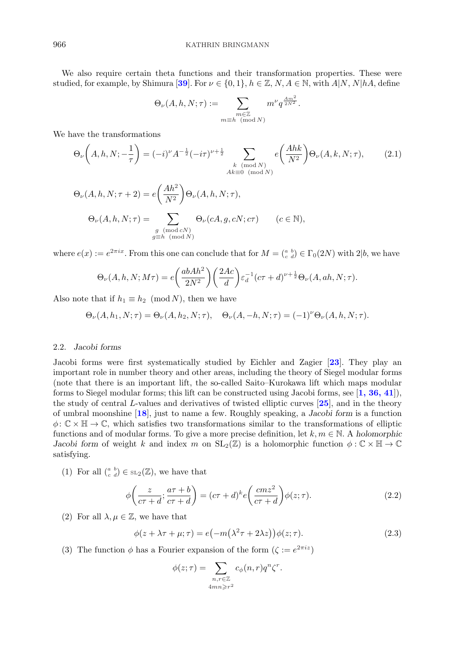<span id="page-3-0"></span>We also require certain theta functions and their transformation properties. These were studied, for example, by Shimura [[39](#page-17-0)]. For  $\nu \in \{0,1\}$ ,  $h \in \mathbb{Z}$ ,  $N, A \in \mathbb{N}$ , with  $A|N, N|hA$ , define

$$
\Theta_{\nu}(A, h, N; \tau) := \sum_{\substack{m \in \mathbb{Z} \\ m \equiv h \pmod{N}}} m^{\nu} q^{\frac{Am^2}{2N^2}}.
$$

We have the transformations

$$
\Theta_{\nu}\left(A, h, N; -\frac{1}{\tau}\right) = (-i)^{\nu} A^{-\frac{1}{2}} (-i\tau)^{\nu + \frac{1}{2}} \sum_{\substack{k \pmod{N} \\ Ak \equiv 0 \pmod{N}}} e\left(\frac{Ahk}{N^2}\right) \Theta_{\nu}(A, k, N; \tau), \tag{2.1}
$$

$$
\Theta_{\nu}(A, h, N; \tau + 2) = e\left(\frac{Ah^2}{N^2}\right) \Theta_{\nu}(A, h, N; \tau),
$$

$$
\Theta_{\nu}(A, h, N; \tau) = \sum_{\substack{g \pmod{cN} \\ g \equiv h \pmod{N}}} \Theta_{\nu}(cA, g, cN; c\tau) \qquad (c \in \mathbb{N}),
$$

where  $e(x) := e^{2\pi ix}$ . From this one can conclude that for  $M = \begin{pmatrix} a & b \\ c & d \end{pmatrix} \in \Gamma_0(2N)$  with  $2|b$ , we have

$$
\Theta_{\nu}(A, h, N; M\tau) = e\left(\frac{abAh^2}{2N^2}\right)\left(\frac{2Ac}{d}\right)\varepsilon_d^{-1}(c\tau + d)^{\nu + \frac{1}{2}}\Theta_{\nu}(A, ah, N; \tau).
$$

Also note that if  $h_1 \equiv h_2 \pmod{N}$ , then we have

$$
\Theta_{\nu}(A, h_1, N; \tau) = \Theta_{\nu}(A, h_2, N; \tau), \quad \Theta_{\nu}(A, -h, N; \tau) = (-1)^{\nu} \Theta_{\nu}(A, h, N; \tau).
$$

#### 2.2. *Jacobi forms*

Jacobi forms were first systematically studied by Eichler and Zagier [**[23](#page-16-0)**]. They play an important role in number theory and other areas, including the theory of Siegel modular forms (note that there is an important lift, the so-called Saito–Kurokawa lift which maps modular forms to Siegel modular forms; this lift can be constructed using Jacobi forms, see [**[1, 36, 41](#page-16-0)**]), the study of central L-values and derivatives of twisted elliptic curves [**[25](#page-16-0)**], and in the theory of umbral moonshine [**[18](#page-16-0)**], just to name a few. Roughly speaking, a *Jacobi form* is a function  $\phi: \mathbb{C} \times \mathbb{H} \to \mathbb{C}$ , which satisfies two transformations similar to the transformations of elliptic functions and of modular forms. To give a more precise definition, let  $k, m \in \mathbb{N}$ . A *holomorphic Jacobi form* of weight k and index m on  $SL_2(\mathbb{Z})$  is a holomorphic function  $\phi : \mathbb{C} \times \mathbb{H} \to \mathbb{C}$ satisfying.

(1) For all  $\binom{a}{c}$   $\in$  s<sub>L2</sub>( $\mathbb{Z}$ ), we have that

$$
\phi\left(\frac{z}{c\tau+d};\frac{a\tau+b}{c\tau+d}\right) = (c\tau+d)^k e\left(\frac{cmz^2}{c\tau+d}\right)\phi(z;\tau). \tag{2.2}
$$

(2) For all  $\lambda, \mu \in \mathbb{Z}$ , we have that

$$
\phi(z + \lambda \tau + \mu; \tau) = e(-m(\lambda^2 \tau + 2\lambda z))\phi(z; \tau).
$$
\n(2.3)

(3) The function  $\phi$  has a Fourier expansion of the form  $(\zeta := e^{2\pi i z})$ 

$$
\phi(z;\tau) = \sum_{\substack{n,r \in \mathbb{Z} \\ 4mn \ge r^2}} c_{\phi}(n,r) q^n \zeta^r.
$$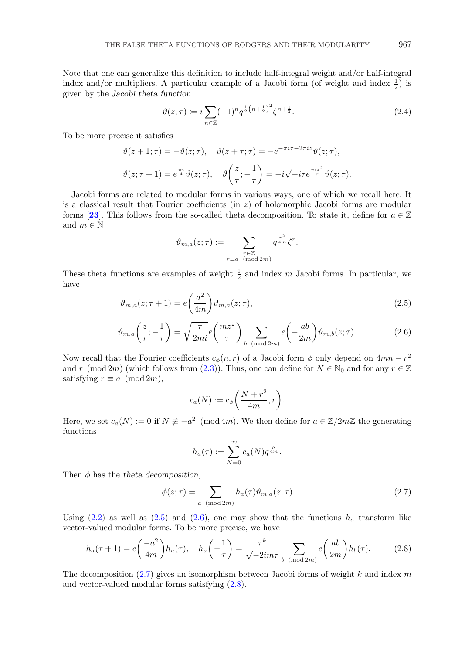<span id="page-4-0"></span>Note that one can generalize this definition to include half-integral weight and/or half-integral index and/or multipliers. A particular example of a Jacobi form (of weight and index  $\frac{1}{2}$ ) is given by the *Jacobi theta function*

$$
\vartheta(z;\tau) := i \sum_{n \in \mathbb{Z}} (-1)^n q^{\frac{1}{2}(n+\frac{1}{2})^2} \zeta^{n+\frac{1}{2}}.
$$
\n(2.4)

To be more precise it satisfies

$$
\vartheta(z+1;\tau) = -\vartheta(z;\tau), \quad \vartheta(z+\tau;\tau) = -e^{-\pi i \tau - 2\pi i z} \vartheta(z;\tau),
$$

$$
\vartheta(z;\tau+1) = e^{\frac{\pi i}{4}} \vartheta(z;\tau), \quad \vartheta\left(\frac{z}{\tau}; -\frac{1}{\tau}\right) = -i\sqrt{-i\tau}e^{\frac{\pi i z^2}{\tau}} \vartheta(z;\tau).
$$

Jacobi forms are related to modular forms in various ways, one of which we recall here. It is a classical result that Fourier coefficients (in  $z$ ) of holomorphic Jacobi forms are modular forms [[23](#page-16-0)]. This follows from the so-called theta decomposition. To state it, define for  $a \in \mathbb{Z}$ and  $m \in \mathbb{N}$ 

$$
\vartheta_{m,a}(z;\tau) := \sum_{\substack{r \in \mathbb{Z} \\ r \equiv a \pmod{2m}}} q^{\frac{r^2}{4m}} \zeta^r.
$$

These theta functions are examples of weight  $\frac{1}{2}$  and index m Jacobi forms. In particular, we have

$$
\vartheta_{m,a}(z;\tau+1) = e\left(\frac{a^2}{4m}\right)\vartheta_{m,a}(z;\tau),\tag{2.5}
$$

$$
\vartheta_{m,a}\left(\frac{z}{\tau};-\frac{1}{\tau}\right) = \sqrt{\frac{\tau}{2mi}}e\left(\frac{mz^2}{\tau}\right) \sum_{b \pmod{2m}} e\left(-\frac{ab}{2m}\right)\vartheta_{m,b}(z;\tau). \tag{2.6}
$$

Now recall that the Fourier coefficients  $c_{\phi}(n, r)$  of a Jacobi form  $\phi$  only depend on  $4mn - r^2$ and r (mod 2m) (which follows from [\(2.3\)](#page-3-0)). Thus, one can define for  $N \in \mathbb{N}_0$  and for any  $r \in \mathbb{Z}$ satisfying  $r \equiv a \pmod{2m}$ ,

$$
c_a(N) := c_{\phi}\bigg(\frac{N+r^2}{4m}, r\bigg).
$$

Here, we set  $c_a(N) := 0$  if  $N \neq -a^2 \pmod{4m}$ . We then define for  $a \in \mathbb{Z}/2m\mathbb{Z}$  the generating functions

$$
h_a(\tau) := \sum_{N=0}^{\infty} c_a(N) q^{\frac{N}{4m}}.
$$

Then  $\phi$  has the *theta decomposition*,

$$
\phi(z;\tau) = \sum_{a \pmod{2m}} h_a(\tau) \vartheta_{m,a}(z;\tau). \tag{2.7}
$$

Using  $(2.2)$  as well as  $(2.5)$  and  $(2.6)$ , one may show that the functions  $h_a$  transform like vector-valued modular forms. To be more precise, we have

$$
h_a(\tau+1) = e\left(\frac{-a^2}{4m}\right)h_a(\tau), \quad h_a\left(-\frac{1}{\tau}\right) = \frac{\tau^k}{\sqrt{-2im\tau}} \sum_{b \pmod{2m}} e\left(\frac{ab}{2m}\right)h_b(\tau). \tag{2.8}
$$

The decomposition  $(2.7)$  gives an isomorphism between Jacobi forms of weight k and index m and vector-valued modular forms satisfying (2.8).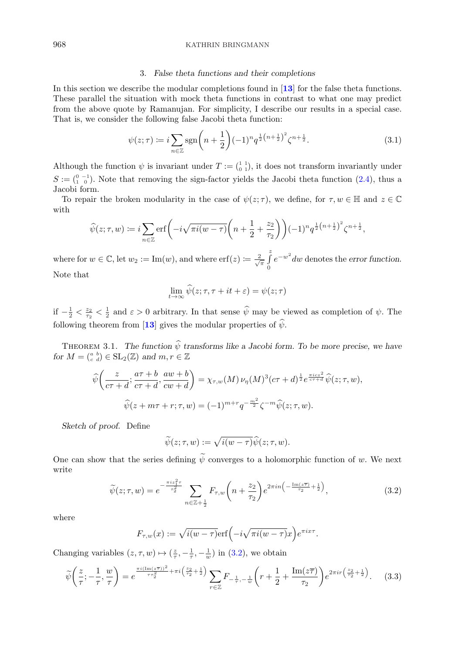## <span id="page-5-0"></span>968 KATHRIN BRINGMANN

#### 3. *False theta functions and their completions*

In this section we describe the modular completions found in [**[13](#page-16-0)**] for the false theta functions. These parallel the situation with mock theta functions in contrast to what one may predict from the above quote by Ramanujan. For simplicity, I describe our results in a special case. That is, we consider the following false Jacobi theta function:

$$
\psi(z;\tau) := i \sum_{n \in \mathbb{Z}} \text{sgn}\left(n + \frac{1}{2}\right)(-1)^n q^{\frac{1}{2}\left(n + \frac{1}{2}\right)^2} \zeta^{n + \frac{1}{2}}.
$$
\n(3.1)

Although the function  $\psi$  is invariant under  $T := \begin{pmatrix} 1 & 1 \\ 0 & 1 \end{pmatrix}$ , it does not transform invariantly under  $S := \begin{pmatrix} 0 & -1 \\ 1 & 0 \end{pmatrix}$ . Note that removing the sign-factor yields the Jacobi theta function [\(2.4\)](#page-4-0), thus a Jacobi form.

To repair the broken modularity in the case of  $\psi(z;\tau)$ , we define, for  $\tau, w \in \mathbb{H}$  and  $z \in \mathbb{C}$ with

$$
\widehat{\psi}(z;\tau,w) \coloneqq i \sum_{n \in \mathbb{Z}} \operatorname{erf}\left(-i\sqrt{\pi i (w-\tau)} \left(n+\frac{1}{2}+\frac{z_2}{\tau_2}\right)\right) (-1)^n q^{\frac{1}{2}\left(n+\frac{1}{2}\right)^2} \zeta^{n+\frac{1}{2}},
$$

where for  $w \in \mathbb{C}$ , let  $w_2 := \text{Im}(w)$ , and where  $\text{erf}(z) := \frac{2}{\sqrt{\pi}} \int_{0}^{z}$  $\theta$ e−w<sup>2</sup> dw denotes the *error function*. Note that

$$
\lim_{t \to \infty} \widehat{\psi}(z; \tau, \tau + it + \varepsilon) = \psi(z; \tau)
$$

if  $-\frac{1}{2} < \frac{z_2}{\tau_2} < \frac{1}{2}$  and  $\varepsilon > 0$  arbitrary. In that sense  $\hat{\psi}$  may be viewed as completion of  $\psi$ . The following theorem from [[13](#page-16-0)] gives the modular properties of  $\hat{\psi}$ .

THEOREM 3.1. The function  $\hat{\psi}$  transforms like a Jacobi form. To be more precise, we have *for*  $M = \begin{pmatrix} a & b \\ c & d \end{pmatrix} \in SL_2(\mathbb{Z})$  *and*  $m, r \in \mathbb{Z}$ 

$$
\widehat{\psi}\left(\frac{z}{c\tau+d};\frac{a\tau+b}{c\tau+d},\frac{aw+b}{cw+d}\right) = \chi_{\tau,w}(M)\,\nu_{\eta}(M)^3(c\tau+d)^{\frac{1}{2}}e^{\frac{\pi icz^2}{c\tau+d}}\widehat{\psi}(z;\tau,w),
$$

$$
\widehat{\psi}(z+m\tau+r;\tau,w) = (-1)^{m+r}q^{-\frac{m^2}{2}}\zeta^{-m}\widehat{\psi}(z;\tau,w).
$$

*Sketch of proof.* Define

$$
\widetilde{\psi}(z;\tau,w):=\sqrt{i(w-\tau)}\widehat{\psi}(z;\tau,w).
$$

One can show that the series defining  $\widetilde{\psi}$  converges to a holomorphic function of w. We next write

$$
\widetilde{\psi}(z;\tau,w) = e^{-\frac{\pi i z_1^2 \tau}{\tau_2^2}} \sum_{n \in \mathbb{Z} + \frac{1}{2}} F_{\tau,w} \left( n + \frac{z_2}{\tau_2} \right) e^{2\pi i n \left( -\frac{\text{Im}(z\overline{\tau})}{\tau_2} + \frac{1}{2} \right)},\tag{3.2}
$$

where

$$
F_{\tau,w}(x) := \sqrt{i(w-\tau)} \text{erf}\left(-i\sqrt{\pi i(w-\tau)}x\right) e^{\pi ix\tau}.
$$

Changing variables  $(z, \tau, w) \mapsto (\frac{z}{\tau}, -\frac{1}{\tau}, -\frac{1}{w})$  in (3.2), we obtain

$$
\widetilde{\psi}\left(\frac{z}{\tau};-\frac{1}{\tau},\frac{w}{\tau}\right) = e^{\frac{\pi i (\text{Im}(z\overline{\tau}))^2}{\tau \tau_2^2} + \pi i \left(\frac{z_2}{\tau_2} + \frac{1}{2}\right)} \sum_{r \in \mathbb{Z}} F_{-\frac{1}{\tau},-\frac{1}{w}}\left(r + \frac{1}{2} + \frac{\text{Im}(z\overline{\tau})}{\tau_2}\right) e^{2\pi i r \left(\frac{z_2}{\tau_2} + \frac{1}{2}\right)}.\tag{3.3}
$$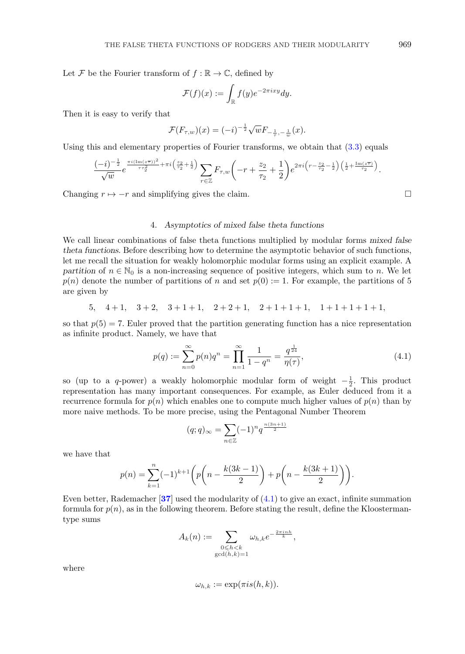<span id="page-6-0"></span>Let F be the Fourier transform of  $f : \mathbb{R} \to \mathbb{C}$ , defined by

$$
\mathcal{F}(f)(x) := \int_{\mathbb{R}} f(y)e^{-2\pi i xy} dy.
$$

Then it is easy to verify that

$$
\mathcal{F}(F_{\tau,w})(x) = (-i)^{-\frac{1}{2}} \sqrt{w} F_{-\frac{1}{\tau},-\frac{1}{w}}(x).
$$

Using this and elementary properties of Fourier transforms, we obtain that  $(3.3)$  equals

$$
\frac{(-i)^{-\frac{1}{2}}}{\sqrt{w}}e^{\frac{\pi i(\text{Im}(z\overline{\tau}))^2}{\tau \tau_2^2}+\pi i\left(\frac{z_2}{\tau_2}+\frac{1}{2}\right)}\sum_{r\in\mathbb{Z}}F_{\tau,w}\left(-r+\frac{z_2}{\tau_2}+\frac{1}{2}\right)e^{2\pi i\left(r-\frac{z_2}{\tau_2}-\frac{1}{2}\right)\left(\frac{1}{2}+\frac{\text{Im}(z\overline{\tau})}{\tau_2}\right)}.
$$

Changing  $r \mapsto -r$  and simplifying gives the claim.

### 4. *Asymptotics of mixed false theta functions*

We call linear combinations of false theta functions multiplied by modular forms *mixed false theta functions*. Before describing how to determine the asymptotic behavior of such functions, let me recall the situation for weakly holomorphic modular forms using an explicit example. A *partition* of  $n \in \mathbb{N}_0$  is a non-increasing sequence of positive integers, which sum to n. We let  $p(n)$  denote the number of partitions of n and set  $p(0) := 1$ . For example, the partitions of 5 are given by

5,  $4+1$ ,  $3+2$ ,  $3+1+1$ ,  $2+2+1$ ,  $2+1+1+1$ ,  $1+1+1+1$ ,

so that  $p(5) = 7$ . Euler proved that the partition generating function has a nice representation as infinite product. Namely, we have that

$$
p(q) := \sum_{n=0}^{\infty} p(n)q^n = \prod_{n=1}^{\infty} \frac{1}{1 - q^n} = \frac{q^{\frac{1}{24}}}{\eta(\tau)},
$$
\n(4.1)

so (up to a q-power) a weakly holomorphic modular form of weight  $-\frac{1}{2}$ . This product representation has many important consequences. For example, as Euler deduced from it a recurrence formula for  $p(n)$  which enables one to compute much higher values of  $p(n)$  than by more naive methods. To be more precise, using the Pentagonal Number Theorem

$$
(q;q)_{\infty} = \sum_{n \in \mathbb{Z}} (-1)^n q^{\frac{n(3n+1)}{2}}
$$

we have that

$$
p(n) = \sum_{k=1}^{n} (-1)^{k+1} \left( p \left( n - \frac{k(3k-1)}{2} \right) + p \left( n - \frac{k(3k+1)}{2} \right) \right).
$$

Even better, Rademacher [**[37](#page-17-0)**] used the modularity of (4.1) to give an exact, infinite summation formula for  $p(n)$ , as in the following theorem. Before stating the result, define the Kloostermantype sums

$$
A_k(n) := \sum_{\substack{0 \le h < k \\ \gcd(h,k)=1}} \omega_{h,k} e^{-\frac{2\pi i n h}{k}},
$$

where

$$
\omega_{h,k} := \exp(\pi i s(h,k)).
$$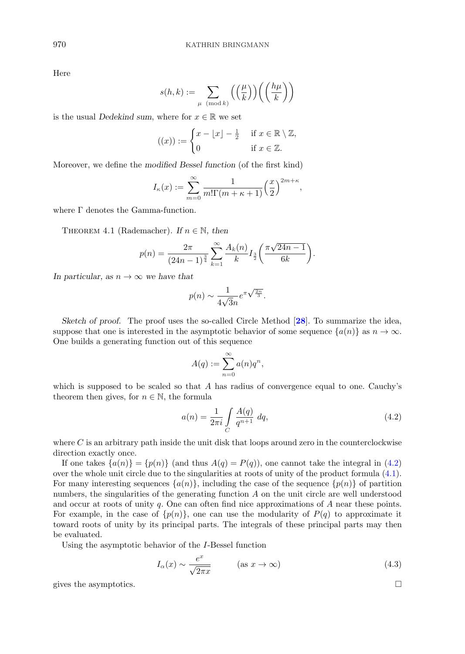Here

$$
s(h,k) := \sum_{\mu \pmod{k}} \left( \left( \frac{\mu}{k} \right) \right) \left( \left( \frac{h\mu}{k} \right) \right)
$$

is the usual *Dedekind sum*, where for  $x \in \mathbb{R}$  we set

$$
((x)) := \begin{cases} x - \lfloor x \rfloor - \frac{1}{2} & \text{if } x \in \mathbb{R} \setminus \mathbb{Z}, \\ 0 & \text{if } x \in \mathbb{Z}. \end{cases}
$$

Moreover, we define the *modified Bessel function* (of the first kind)

$$
I_{\kappa}(x) := \sum_{m=0}^{\infty} \frac{1}{m! \Gamma(m + \kappa + 1)} \left(\frac{x}{2}\right)^{2m + \kappa},
$$

where Γ denotes the Gamma-function.

THEOREM 4.1 (Rademacher). If  $n \in \mathbb{N}$ , then

$$
p(n) = \frac{2\pi}{(24n-1)^{\frac{3}{4}}} \sum_{k=1}^{\infty} \frac{A_k(n)}{k} I_{\frac{3}{2}}\left(\frac{\pi\sqrt{24n-1}}{6k}\right).
$$

*In particular, as*  $n \to \infty$  *we have that* 

$$
p(n) \sim \frac{1}{4\sqrt{3n}} e^{\pi \sqrt{\frac{2n}{3}}}.
$$

*Sketch of proof.* The proof uses the so-called Circle Method [**[28](#page-17-0)**]. To summarize the idea, suppose that one is interested in the asymptotic behavior of some sequence  $\{a(n)\}\;$  as  $n \to \infty$ . One builds a generating function out of this sequence

$$
A(q) := \sum_{n=0}^{\infty} a(n)q^n,
$$

which is supposed to be scaled so that  $A$  has radius of convergence equal to one. Cauchy's theorem then gives, for  $n \in \mathbb{N}$ , the formula

$$
a(n) = \frac{1}{2\pi i} \int\limits_C \frac{A(q)}{q^{n+1}} dq,
$$
\n(4.2)

where  $C$  is an arbitrary path inside the unit disk that loops around zero in the counterclockwise direction exactly once.

If one takes  $\{a(n)\} = \{p(n)\}\$  (and thus  $A(q) = P(q)$ ), one cannot take the integral in (4.2) over the whole unit circle due to the singularities at roots of unity of the product formula [\(4.1\)](#page-6-0). For many interesting sequences  $\{a(n)\}\$ , including the case of the sequence  $\{p(n)\}\$  of partition numbers, the singularities of the generating function  $A$  on the unit circle are well understood and occur at roots of unity q. One can often find nice approximations of A near these points. For example, in the case of  $\{p(n)\}\$ , one can use the modularity of  $P(q)$  to approximate it toward roots of unity by its principal parts. The integrals of these principal parts may then be evaluated.

Using the asymptotic behavior of the I-Bessel function

$$
I_{\alpha}(x) \sim \frac{e^x}{\sqrt{2\pi x}} \qquad (\text{as } x \to \infty)
$$
 (4.3)

gives the asymptotics.  $\Box$ 

<span id="page-7-0"></span>
$$
f_{\rm{max}}
$$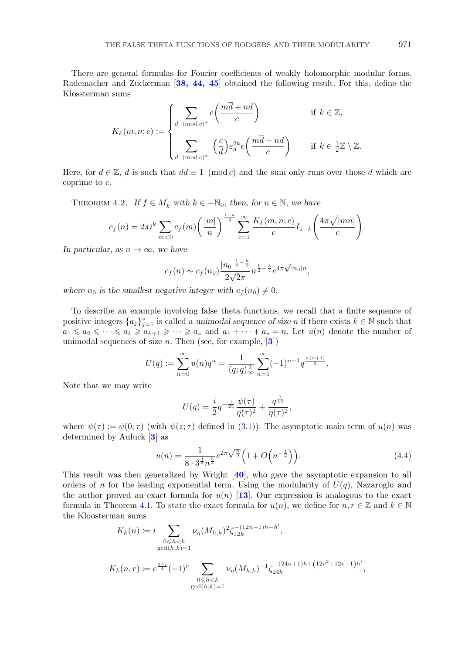<span id="page-8-0"></span>There are general formulas for Fourier coefficients of weakly holomorphic modular forms. Rademacher and Zuckerman [**[38, 44, 45](#page-17-0)**] obtained the following result. For this, define the Klossterman sums

$$
K_k(m, n; c) := \begin{cases} \sum_{d \pmod{c}} e\left(\frac{m\overline{d} + nd}{c}\right) & \text{if } k \in \mathbb{Z}, \\ \sum_{d \pmod{c}} \left(\frac{c}{d}\right) \varepsilon_d^{2k} e\left(\frac{m\overline{d} + nd}{c}\right) & \text{if } k \in \frac{1}{2}\mathbb{Z} \setminus \mathbb{Z}. \end{cases}
$$

Here, for  $d \in \mathbb{Z}$ ,  $\overline{d}$  is such that  $d\overline{d} \equiv 1 \pmod{c}$  and the sum only runs over those d which are coprime to c.

THEOREM 4.2. *If*  $f \in M_k^!$  with  $k \in -\mathbb{N}_0$ , then, for  $n \in \mathbb{N}$ , we have

$$
c_f(n) = 2\pi i^k \sum_{m < 0} c_f(m) \left(\frac{|m|}{n}\right)^{\frac{1-k}{2}} \sum_{c=1}^{\infty} \frac{K_k(m, n; c)}{c} I_{1-k} \left(\frac{4\pi \sqrt{|mn|}}{c}\right).
$$

*In particular, as*  $n \to \infty$ *, we have* 

$$
c_f(n) \sim c_f(n_0) \frac{|n_0|^{\frac{1}{4} - \frac{k}{2}}}{2\sqrt{2\pi}} n^{\frac{k}{2} - \frac{3}{4}} e^{4\pi \sqrt{|n_0| n}},
$$

where  $n_0$  is the smallest negative integer with  $c_f(n_0) \neq 0$ .

To describe an example involving false theta functions, we recall that a finite sequence of positive integers  ${a_j}_{j=1}^s$  is called a *unimodal sequence of size* n if there exists  $k \in \mathbb{N}$  such that  $a_1 \leq a_2 \leq \cdots \leq a_k \geq a_{k+1} \geq \cdots \geq a_s$  and  $a_1 + \cdots + a_s = n$ . Let  $u(n)$  denote the number of unimodal sequences of size n. Then (see, for example, [**[3](#page-16-0)**])

$$
U(q) := \sum_{n=0}^{\infty} u(n)q^n = \frac{1}{(q;q)_{\infty}^2} \sum_{n=1}^{\infty} (-1)^{n+1} q^{\frac{n(n+1)}{2}}.
$$

Note that we may write

$$
U(q) = \frac{i}{2}q^{-\frac{1}{24}}\frac{\psi(\tau)}{\eta(\tau)^2} + \frac{q^{\frac{1}{12}}}{\eta(\tau)^2},
$$

where  $\psi(\tau) := \psi(0;\tau)$  (with  $\psi(z;\tau)$  defined in [\(3.1\)](#page-5-0)). The asymptotic main term of  $u(n)$  was determined by Auluck [**[3](#page-16-0)**] as

$$
u(n) = \frac{1}{8 \cdot 3^{\frac{3}{4}} n^{\frac{5}{4}}} e^{2\pi \sqrt{\frac{n}{3}}} \left( 1 + O\left( n^{-\frac{1}{2}} \right) \right).
$$
 (4.4)

This result was then generalized by Wright [**[40](#page-17-0)**], who gave the asymptotic expansion to all orders of n for the leading exponential term. Using the modularity of  $U(q)$ , Nazaroglu and the author proved an exact formula for  $u(n)$  [[13](#page-16-0)]. Our expression is analogous to the exact formula in Theorem [4.1.](#page-7-0) To state the exact formula for  $u(n)$ , we define for  $n, r \in \mathbb{Z}$  and  $k \in \mathbb{N}$ the Kloosterman sums

$$
K_k(n) := i \sum_{\substack{0 \le h < k \\ \gcd(h,k)=1}} \nu_\eta(M_{h,k})^2 \zeta_{12k}^{-(12n-1)h-h'},
$$
\n
$$
K_k(n,r) := e^{\frac{3\pi i}{4}} (-1)^r \sum_{\substack{0 \le h < k \\ \gcd(h,k)=1}} \nu_\eta(M_{h,k})^{-1} \zeta_{24k}^{-(24n+1)h + (12r^2+12r+1)h'},
$$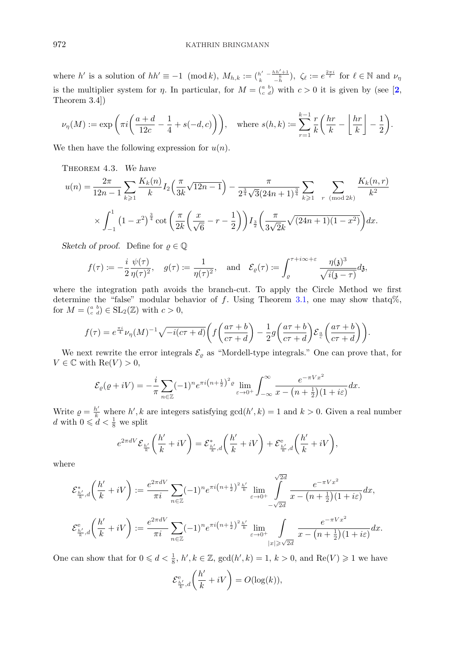<span id="page-9-0"></span>where h' is a solution of  $hh' \equiv -1 \pmod{k}$ ,  $M_{h,k} := \binom{h' - h h' + 1}{-h}$ ,  $\zeta_{\ell} := e^{\frac{2\pi i}{\ell}}$  for  $\ell \in \mathbb{N}$  and  $\nu_{\eta}$ is the multiplier system for  $\eta$ . In particular, for  $M = \begin{pmatrix} a & b \\ c & d \end{pmatrix}$  with  $c > 0$  it is given by (see [[2](#page-16-0), Theorem 3.4])

$$
\nu_{\eta}(M) := \exp\left(\pi i \left(\frac{a+d}{12c} - \frac{1}{4} + s(-d, c)\right)\right), \quad \text{where } s(h, k) := \sum_{r=1}^{k-1} \frac{r}{k} \left(\frac{hr}{k} - \left\lfloor \frac{hr}{k} \right\rfloor - \frac{1}{2}\right).
$$

We then have the following expression for  $u(n)$ .

Theorem 4.3. *We have*

$$
u(n) = \frac{2\pi}{12n-1} \sum_{k\geqslant 1} \frac{K_k(n)}{k} I_2\left(\frac{\pi}{3k}\sqrt{12n-1}\right) - \frac{\pi}{2^{\frac{3}{4}}\sqrt{3}(24n+1)^{\frac{3}{4}}}\sum_{k\geqslant 1} \sum_{r \pmod{2k}} \frac{K_k(n,r)}{k^2}
$$

$$
\times \int_{-1}^1 \left(1-x^2\right)^{\frac{3}{4}} \cot\left(\frac{\pi}{2k}\left(\frac{x}{\sqrt{6}}-r-\frac{1}{2}\right)\right) I_{\frac{3}{2}}\left(\frac{\pi}{3\sqrt{2}k}\sqrt{(24n+1)(1-x^2)}\right) dx.
$$

*Sketch of proof.* Define for  $\varrho \in \mathbb{Q}$ 

$$
f(\tau) := -\frac{i}{2} \frac{\psi(\tau)}{\eta(\tau)^2}, \quad g(\tau) := \frac{1}{\eta(\tau)^2}, \quad \text{and} \quad \mathcal{E}_{\varrho}(\tau) := \int_{\varrho}^{\tau + i\infty + \varepsilon} \frac{\eta(\mathfrak{z})^3}{\sqrt{i(\mathfrak{z} - \tau)}} d\mathfrak{z},
$$

where the integration path avoids the branch-cut. To apply the Circle Method we first determine the "false" modular behavior of f. Using Theorem [3.1,](#page-5-0) one may show that  $\phi$ %, for  $M = \begin{pmatrix} a & b \\ c & d \end{pmatrix} \in SL_2(\mathbb{Z})$  with  $c > 0$ ,

$$
f(\tau) = e^{\frac{\pi i}{4}} \nu_{\eta}(M)^{-1} \sqrt{-i(c\tau + d)} \bigg( f\bigg(\frac{a\tau + b}{c\tau + d}\bigg) - \frac{1}{2} g\bigg(\frac{a\tau + b}{c\tau + d}\bigg) \mathcal{E}_{\frac{a}{c}}\bigg(\frac{a\tau + b}{c\tau + d}\bigg) \bigg).
$$

We next rewrite the error integrals  $\mathcal{E}_{\varrho}$  as "Mordell-type integrals." One can prove that, for  $V \in \mathbb{C}$  with  $\text{Re}(V) > 0$ ,

$$
\mathcal{E}_{\varrho}(\varrho+iV) = -\frac{i}{\pi} \sum_{n \in \mathbb{Z}} (-1)^n e^{\pi i \left(n + \frac{1}{2}\right)^2 \varrho} \lim_{\varepsilon \to 0^+} \int_{-\infty}^{\infty} \frac{e^{-\pi V x^2}}{x - \left(n + \frac{1}{2}\right)(1 + i\varepsilon)} dx.
$$

Write  $\rho = \frac{h'}{k}$  where h', k are integers satisfying gcd(h', k) = 1 and k > 0. Given a real number d with  $0 \leq d < \frac{1}{8}$  we split

$$
e^{2\pi dV} \mathcal{E}_{\frac{h'}{k}}\left(\frac{h'}{k}+iV\right) = \mathcal{E}_{\frac{h'}{k},d}^*\left(\frac{h'}{k}+iV\right) + \mathcal{E}_{\frac{h'}{k},d}^{\text{e}}\left(\frac{h'}{k}+iV\right),\,
$$

where

$$
\mathcal{E}_{\frac{h'}{k},d}^{*}\left(\frac{h'}{k}+iV\right) := \frac{e^{2\pi d V}}{\pi i} \sum_{n\in\mathbb{Z}} (-1)^{n} e^{\pi i \left(n+\frac{1}{2}\right)^{2} \frac{h'}{k}} \lim_{\varepsilon\to 0^{+}} \int_{-\sqrt{2d}}^{\sqrt{2d}} \frac{e^{-\pi Vx^{2}}}{x-\left(n+\frac{1}{2}\right)(1+i\varepsilon)} dx,
$$
  

$$
\mathcal{E}_{\frac{h'}{k},d}^{e}\left(\frac{h'}{k}+iV\right) := \frac{e^{2\pi d V}}{\pi i} \sum_{n\in\mathbb{Z}} (-1)^{n} e^{\pi i \left(n+\frac{1}{2}\right)^{2} \frac{h'}{k}} \lim_{\varepsilon\to 0^{+}} \int_{|x|\geqslant\sqrt{2d}} \frac{e^{-\pi Vx^{2}}}{x-\left(n+\frac{1}{2}\right)(1+i\varepsilon)} dx.
$$

One can show that for  $0 \leq d < \frac{1}{8}$ ,  $h', k \in \mathbb{Z}$ ,  $\gcd(h', k) = 1$ ,  $k > 0$ , and  $\text{Re}(V) \geq 1$  we have

$$
\mathcal{E}^{\mathsf{e}}_{\frac{h'}{k},d}\bigg(\frac{h'}{k}+iV\bigg)=O(\log(k)),
$$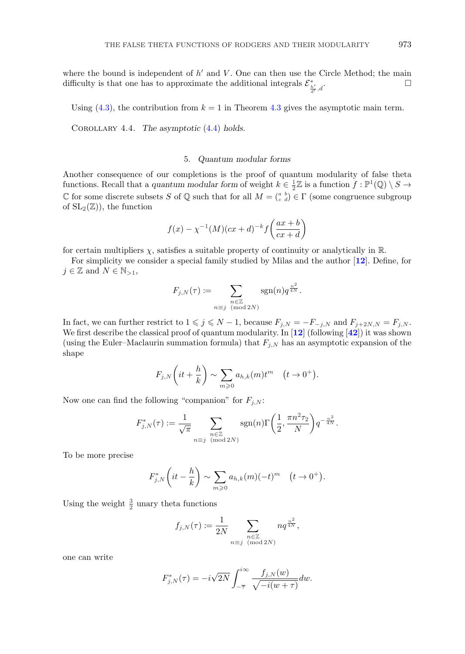<span id="page-10-0"></span>where the bound is independent of  $h'$  and  $V$ . One can then use the Circle Method; the main difficulty is that one has to approximate the additional integrals  $\mathcal{E}^*_{\frac{h'}{d'},d}$ .

Using  $(4.3)$ , the contribution from  $k = 1$  in Theorem [4.3](#page-9-0) gives the asymptotic main term.

Corollary 4.4. *The asymptotic* [\(4](#page-8-0)*.*4) *holds.*

### 5. *Quantum modular forms*

Another consequence of our completions is the proof of quantum modularity of false theta functions. Recall that a *quantum modular form* of weight  $k \in \frac{1}{2}\mathbb{Z}$  is a function  $f : \mathbb{P}^1(\mathbb{Q}) \setminus S \to$ C for some discrete subsets S of Q such that for all  $M = \begin{pmatrix} a & b \\ c & d \end{pmatrix} \in \Gamma$  (some congruence subgroup of  $SL_2(\mathbb{Z})$ , the function

$$
f(x) - \chi^{-1}(M)(cx + d)^{-k} f\left(\frac{ax + b}{cx + d}\right)
$$

for certain multipliers  $\chi$ , satisfies a suitable property of continuity or analytically in  $\mathbb{R}$ .

For simplicity we consider a special family studied by Milas and the author [**[12](#page-16-0)**]. Define, for  $j \in \mathbb{Z}$  and  $N \in \mathbb{N}_{>1}$ ,

$$
F_{j,N}(\tau) \coloneqq \sum_{\substack{n \in \mathbb{Z} \\ n \equiv j \pmod{2N}}} \operatorname{sgn}(n) q^{\frac{n^2}{4N}}.
$$

In fact, we can further restrict to  $1 \leq j \leq N - 1$ , because  $F_{j,N} = -F_{-j,N}$  and  $F_{j+2N,N} = F_{j,N}$ . We first describe the classical proof of quantum modularity. In [**[12](#page-16-0)**] (following [**[42](#page-17-0)**]) it was shown (using the Euler–Maclaurin summation formula) that  $F_{j,N}$  has an asymptotic expansion of the shape

$$
F_{j,N}\left(it+\frac{h}{k}\right) \sim \sum_{m\geqslant 0} a_{h,k}(m)t^m \quad (t\to 0^+).
$$

Now one can find the following "companion" for  $F_{j,N}$ :

$$
F_{j,N}^*(\tau) := \frac{1}{\sqrt{\pi}} \sum_{\substack{n \in \mathbb{Z} \\ n \equiv j \pmod{2N}}} \text{sgn}(n) \Gamma\left(\frac{1}{2}, \frac{\pi n^2 \tau_2}{N}\right) q^{-\frac{n^2}{4N}}.
$$

To be more precise

$$
F_{j,N}^*\left(it-\frac{h}{k}\right) \sim \sum_{m\geqslant 0} a_{h,k}(m)(-t)^m \quad (t\to 0^+).
$$

Using the weight  $\frac{3}{2}$  unary theta functions

$$
f_{j,N}(\tau) := \frac{1}{2N} \sum_{\substack{n \in \mathbb{Z} \\ n \equiv j \pmod{2N}}} n q^{\frac{n^2}{4N}},
$$

one can write

$$
F_{j,N}^*(\tau) = -i\sqrt{2N} \int_{-\overline{\tau}}^{i\infty} \frac{f_{j,N}(w)}{\sqrt{-i(w+\tau)}} dw.
$$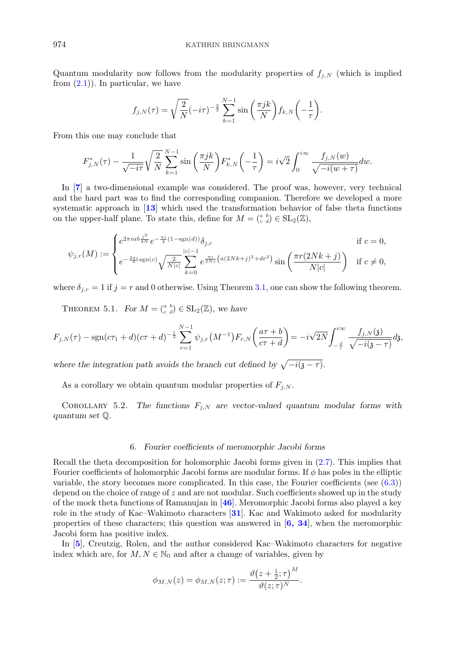<span id="page-11-0"></span>Quantum modularity now follows from the modularity properties of  $f_{j,N}$  (which is implied from  $(2.1)$ ). In particular, we have

$$
f_{j,N}(\tau) = \sqrt{\frac{2}{N}} (-i\tau)^{-\frac{3}{2}} \sum_{k=1}^{N-1} \sin\left(\frac{\pi jk}{N}\right) f_{k,N}\left(-\frac{1}{\tau}\right).
$$

From this one may conclude that

$$
F_{j,N}^*(\tau) - \frac{1}{\sqrt{-i\tau}} \sqrt{\frac{2}{N}} \sum_{k=1}^{N-1} \sin\left(\frac{\pi j k}{N}\right) F_{k,N}^*\left(-\frac{1}{\tau}\right) = i\sqrt{2} \int_0^{i\infty} \frac{f_{j,N}(w)}{\sqrt{-i(w+\tau)}} dw.
$$

In [**[7](#page-16-0)**] a two-dimensional example was considered. The proof was, however, very technical and the hard part was to find the corresponding companion. Therefore we developed a more systematic approach in [**[13](#page-16-0)**] which used the transformation behavior of false theta functions on the upper-half plane. To state this, define for  $M = \begin{pmatrix} a & b \\ c & d \end{pmatrix} \in SL_2(\mathbb{Z}),$ 

$$
\psi_{j,r}(M) := \begin{cases} e^{2\pi i a b \frac{j^2}{4N}} e^{-\frac{\pi i}{4} (1 - \text{sgn}(d))} \delta_{j,r} & \text{if } c = 0, \\ e^{-\frac{3\pi i}{4} \text{sgn}(c)} \sqrt{\frac{2}{N|c|}} \sum_{k=0}^{|c|-1} e^{\frac{\pi i}{2Nc} (a(2Nk+j)^2 + dr^2)} \sin\left(\frac{\pi r (2Nk+j)}{N|c|}\right) & \text{if } c \neq 0, \end{cases}
$$

where  $\delta_{i,r} = 1$  if  $j = r$  and 0 otherwise. Using Theorem [3.1,](#page-5-0) one can show the following theorem.

THEOREM 5.1. *For*  $M = \begin{pmatrix} a & b \\ c & d \end{pmatrix} \in SL_2(\mathbb{Z})$ , we have

$$
F_{j,N}(\tau) - \text{sgn}(c\tau_1 + d)(c\tau + d)^{-\frac{1}{2}} \sum_{r=1}^{N-1} \psi_{j,r}(M^{-1}) F_{r,N}\left(\frac{a\tau + b}{c\tau + d}\right) = -i\sqrt{2N} \int_{-\frac{d}{c}}^{i\infty} \frac{f_{j,N}(\mathfrak{z})}{\sqrt{-i(\mathfrak{z}-\tau)}} d\mathfrak{z},
$$

*where the integration path avoids the branch cut defined by*  $\sqrt{-i(j-\tau)}$ *.* 

As a corollary we obtain quantum modular properties of  $F_{j,N}$ .

COROLLARY 5.2. The functions  $F_{i,N}$  are vector-valued quantum modular forms with *quantum set* Q*.*

#### 6. *Fourier coefficients of meromorphic Jacobi forms*

Recall the theta decomposition for holomorphic Jacobi forms given in [\(2.7\)](#page-4-0). This implies that Fourier coefficients of holomorphic Jacobi forms are modular forms. If  $\phi$  has poles in the elliptic variable, the story becomes more complicated. In this case, the Fourier coefficients (see  $(6.3)$ ) depend on the choice of range of  $z$  and are not modular. Such coefficients showed up in the study of the mock theta functions of Ramanujan in [**[46](#page-17-0)**]. Meromorphic Jacobi forms also played a key role in the study of Kac–Wakimoto characters [**[31](#page-17-0)**]. Kac and Wakimoto asked for modularity properties of these characters; this question was answered in [**[6, 34](#page-16-0)**], when the meromorphic Jacobi form has positive index.

In [**[5](#page-16-0)**], Creutzig, Rolen, and the author considered Kac–Wakimoto characters for negative index which are, for  $M, N \in \mathbb{N}_0$  and after a change of variables, given by

$$
\phi_{M,N}(z) = \phi_{M,N}(z;\tau) := \frac{\vartheta(z+\frac{1}{2};\tau)^M}{\vartheta(z;\tau)^N}.
$$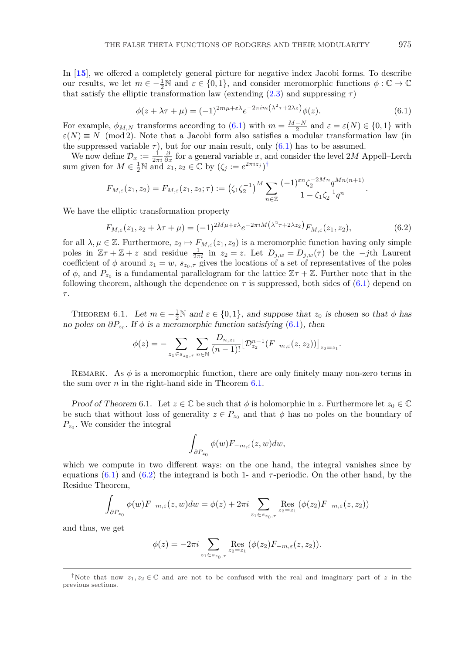<span id="page-12-0"></span>In [**[15](#page-16-0)**], we offered a completely general picture for negative index Jacobi forms. To describe our results, we let  $m \in \{-\frac{1}{2}\mathbb{N} \text{ and } \varepsilon \in \{0,1\}$ , and consider meromorphic functions  $\phi : \mathbb{C} \to \mathbb{C}$ that satisfy the elliptic transformation law (extending  $(2.3)$  and suppressing  $\tau$ )

$$
\phi(z + \lambda \tau + \mu) = (-1)^{2m\mu + \varepsilon \lambda} e^{-2\pi i m \left(\lambda^2 \tau + 2\lambda z\right)} \phi(z). \tag{6.1}
$$

For example,  $\phi_{M,N}$  transforms according to (6.1) with  $m = \frac{M-N}{2}$  and  $\varepsilon = \varepsilon(N) \in \{0,1\}$  with  $\varepsilon(N) \equiv N \pmod{2}$ . Note that a Jacobi form also satisfies a modular transformation law (in the suppressed variable  $\tau$ ), but for our main result, only (6.1) has to be assumed.

We now define  $\mathcal{D}_x := \frac{1}{2\pi i} \frac{\partial}{\partial x}$  for a general variable x, and consider the level 2M Appell–Lerch sum given for  $M \in \frac{1}{2} \mathbb{N}$  and  $z_1, z_2 \in \mathbb{C}$  by  $(\zeta_j := e^{2\pi i z_j})^{\dagger}$ 

$$
F_{M,\varepsilon}(z_1,z_2)=F_{M,\varepsilon}(z_1,z_2;\tau):=\left(\zeta_1\zeta_2^{-1}\right)^M\sum_{n\in\mathbb{Z}}\frac{(-1)^{\varepsilon n}\zeta_2^{-2Mn}q^{Mn(n+1)}}{1-\zeta_1\zeta_2^{-1}q^n}.
$$

We have the elliptic transformation property

$$
F_{M,\varepsilon}(z_1, z_2 + \lambda \tau + \mu) = (-1)^{2M\mu + \varepsilon \lambda} e^{-2\pi i M \left(\lambda^2 \tau + 2\lambda z_2\right)} F_{M,\varepsilon}(z_1, z_2),\tag{6.2}
$$

for all  $\lambda, \mu \in \mathbb{Z}$ . Furthermore,  $z_2 \mapsto F_{M,\varepsilon}(z_1, z_2)$  is a meromorphic function having only simple poles in  $\mathbb{Z}\tau + \mathbb{Z} + z$  and residue  $\frac{1}{2\pi i}$  in  $z_2 = z$ . Let  $D_{j,w} = D_{j,w}(\tau)$  be the  $-j$ th Laurent coefficient of  $\phi$  around  $z_1 = w$ ,  $s_{z_0, \tau}$  gives the locations of a set of representatives of the poles of  $\phi$ , and  $P_{z_0}$  is a fundamental parallelogram for the lattice  $\mathbb{Z}\tau + \mathbb{Z}$ . Further note that in the following theorem, although the dependence on  $\tau$  is suppressed, both sides of (6.1) depend on  $\tau.$ 

THEOREM 6.1. Let  $m \in -\frac{1}{2}\mathbb{N}$  and  $\varepsilon \in \{0,1\}$ , and suppose that  $z_0$  is chosen so that  $\phi$  has *no poles on*  $\partial P_{z_0}$ *. If*  $\phi$  *is a meromorphic function satisfying* (6*.*1)*, then* 

$$
\phi(z) = - \sum_{z_1 \in s_{z_0, \tau}} \sum_{n \in \mathbb{N}} \frac{D_{n, z_1}}{(n-1)!} \big[ \mathcal{D}_{z_2}^{n-1}(F_{-m, \varepsilon}(z, z_2)) \big]_{z_2 = z_1}.
$$

REMARK. As  $\phi$  is a meromorphic function, there are only finitely many non-zero terms in the sum over  $n$  in the right-hand side in Theorem 6.1.

*Proof of Theorem* 6.1. Let  $z \in \mathbb{C}$  be such that  $\phi$  is holomorphic in z. Furthermore let  $z_0 \in \mathbb{C}$ be such that without loss of generality  $z \in P_{z_0}$  and that  $\phi$  has no poles on the boundary of  $P_{z_0}$ . We consider the integral

$$
\int_{\partial P_{z_0}} \phi(w) F_{-m,\varepsilon}(z,w) dw,
$$

which we compute in two different ways: on the one hand, the integral vanishes since by equations  $(6.1)$  and  $(6.2)$  the integrand is both 1- and  $\tau$ -periodic. On the other hand, by the Residue Theorem,

$$
\int_{\partial P_{z_0}} \phi(w) F_{-m,\varepsilon}(z,w) dw = \phi(z) + 2\pi i \sum_{z_1 \in s_{z_0,\tau}} \text{Res}_{z_2 = z_1} (\phi(z_2) F_{-m,\varepsilon}(z,z_2))
$$

and thus, we get

$$
\phi(z) = -2\pi i \sum_{z_1 \in s_{z_0, \tau}} \text{Res}_{z_2 = z_1} (\phi(z_2) F_{-m,\varepsilon}(z,z_2)).
$$

<sup>&</sup>lt;sup>†</sup>Note that now  $z_1, z_2 \in \mathbb{C}$  and are not to be confused with the real and imaginary part of z in the previous sections.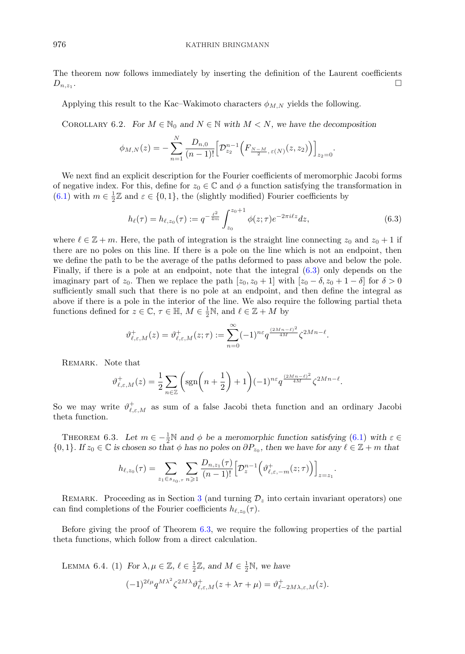<span id="page-13-0"></span>The theorem now follows immediately by inserting the definition of the Laurent coefficients  $D_{n,z_1}$ .

Applying this result to the Kac–Wakimoto characters  $\phi_{M,N}$  yields the following.

COROLLARY 6.2. *For*  $M \in \mathbb{N}_0$  and  $N \in \mathbb{N}$  with  $M < N$ , we have the decomposition

$$
\phi_{M,N}(z) = -\sum_{n=1}^{N} \frac{D_{n,0}}{(n-1)!} \Big[ \mathcal{D}_{z_2}^{n-1} \Big( F_{\frac{N-M}{2},\,\varepsilon(N)}(z,z_2) \Big) \Big]_{z_2=0}.
$$

We next find an explicit description for the Fourier coefficients of meromorphic Jacobi forms of negative index. For this, define for  $z_0 \in \mathbb{C}$  and  $\phi$  a function satisfying the transformation in [\(6.1\)](#page-12-0) with  $m \in \frac{1}{2}\mathbb{Z}$  and  $\varepsilon \in \{0,1\}$ , the (slightly modified) Fourier coefficients by

$$
h_{\ell}(\tau) = h_{\ell, z_0}(\tau) := q^{-\frac{\ell^2}{4m}} \int_{z_0}^{z_0+1} \phi(z; \tau) e^{-2\pi i \ell z} dz,
$$
\n(6.3)

where  $\ell \in \mathbb{Z} + m$ . Here, the path of integration is the straight line connecting  $z_0$  and  $z_0 + 1$  if there are no poles on this line. If there is a pole on the line which is not an endpoint, then we define the path to be the average of the paths deformed to pass above and below the pole. Finally, if there is a pole at an endpoint, note that the integral (6.3) only depends on the imaginary part of  $z_0$ . Then we replace the path  $[z_0, z_0 + 1]$  with  $[z_0 - \delta, z_0 + 1 - \delta]$  for  $\delta > 0$ sufficiently small such that there is no pole at an endpoint, and then define the integral as above if there is a pole in the interior of the line. We also require the following partial theta functions defined for  $z \in \mathbb{C}$ ,  $\tau \in \mathbb{H}$ ,  $M \in \frac{1}{2}\mathbb{N}$ , and  $\ell \in \mathbb{Z} + M$  by

$$
\vartheta^+_{\ell,\varepsilon,M}(z)=\vartheta^+_{\ell,\varepsilon,M}(z;\tau):=\sum_{n=0}^\infty (-1)^{n\varepsilon}q^{\frac{(2Mn-\ell)^2}{4M}}\zeta^{2Mn-\ell}.
$$

REMARK. Note that

$$
\vartheta_{\ell,\varepsilon,M}^+(z) = \frac{1}{2} \sum_{n \in \mathbb{Z}} \left( \text{sgn}\left(n + \frac{1}{2}\right) + 1 \right) (-1)^{n\varepsilon} q^{\frac{(2Mn - \ell)^2}{4M}} \zeta^{2Mn - \ell}.
$$

So we may write  $\vartheta_{\ell,\varepsilon,M}^+$  as sum of a false Jacobi theta function and an ordinary Jacobi theta function.

THEOREM 6.3. Let  $m \in -\frac{1}{2}\mathbb{N}$  and  $\phi$  be a meromorphic function satisfying [\(6](#page-12-0).1) with  $\varepsilon \in$  $\{0,1\}$ *. If*  $z_0 \in \mathbb{C}$  *is chosen so that*  $\phi$  *has no poles on*  $\partial P_{z_0}$ *, then we have for any*  $\ell \in \mathbb{Z} + m$  *that* 

$$
h_{\ell,z_0}(\tau) = \sum_{z_1 \in s_{z_0,\tau}} \sum_{n \geq 1} \frac{D_{n,z_1}(\tau)}{(n-1)!} \left[ \mathcal{D}_z^{n-1} \left( \vartheta_{\ell,\varepsilon,-m}^+(z;\tau) \right) \right]_{z=z_1}.
$$

REMARK. Proceeding as in Section [3](#page-5-0) (and turning  $\mathcal{D}_z$  into certain invariant operators) one can find completions of the Fourier coefficients  $h_{\ell,z_0}(\tau)$ .

Before giving the proof of Theorem 6.3, we require the following properties of the partial theta functions, which follow from a direct calculation.

LEMMA 6.4. (1) *For*  $\lambda, \mu \in \mathbb{Z}, \ell \in \frac{1}{2}\mathbb{Z}$ *, and*  $M \in \frac{1}{2}\mathbb{N}$ *, we have*  $(-1)^{2\ell\mu}q^{M\lambda^2}\zeta^{2M\lambda}\vartheta^+_{\ell,\varepsilon,M}(z+\lambda\tau+\mu)=\vartheta^+_{\ell-2M\lambda,\varepsilon,M}(z).$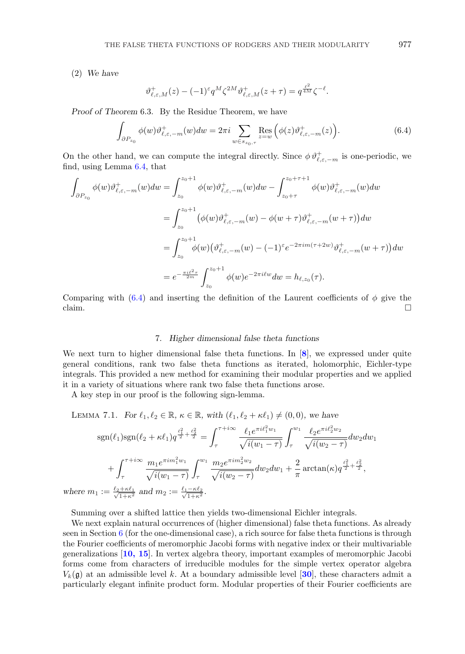<span id="page-14-0"></span>(2) *We have*

 $where$ 

$$
\vartheta_{\ell,\varepsilon,M}^+(z) - (-1)^{\varepsilon} q^M \zeta^{2M} \vartheta_{\ell,\varepsilon,M}^+(z+\tau) = q^{\frac{\ell^2}{4M}} \zeta^{-\ell}.
$$

*Proof of Theorem* 6.3. By the Residue Theorem, we have

$$
\int_{\partial P_{z_0}} \phi(w) \vartheta_{\ell, \varepsilon, -m}^+(w) dw = 2\pi i \sum_{w \in s_{z_0, \tau}} \operatorname{Res}_{z=w} \left( \phi(z) \vartheta_{\ell, \varepsilon, -m}^+(z) \right). \tag{6.4}
$$

On the other hand, we can compute the integral directly. Since  $\phi \vartheta_{\ell,\varepsilon,-m}^+$  is one-periodic, we find, using Lemma 6.4, that

$$
\int_{\partial P_{z_0}} \phi(w) \vartheta_{\ell, \varepsilon, -m}^+(w) dw = \int_{z_0}^{z_0 + 1} \phi(w) \vartheta_{\ell, \varepsilon, -m}^+(w) dw - \int_{z_0 + \tau}^{z_0 + \tau + 1} \phi(w) \vartheta_{\ell, \varepsilon, -m}^+(w) dw
$$
\n
$$
= \int_{z_0}^{z_0 + 1} (\phi(w) \vartheta_{\ell, \varepsilon, -m}^+(w) - \phi(w + \tau) \vartheta_{\ell, \varepsilon, -m}^+(w + \tau)) dw
$$
\n
$$
= \int_{z_0}^{z_0 + 1} \phi(w) (\vartheta_{\ell, \varepsilon, -m}^+(w) - (-1)^\varepsilon e^{-2\pi i m (\tau + 2w)} \vartheta_{\ell, \varepsilon, -m}^+(w + \tau)) dw
$$
\n
$$
= e^{-\frac{\pi i \ell^2 \tau}{2m}} \int_{z_0}^{z_0 + 1} \phi(w) e^{-2\pi i \ell w} dw = h_{\ell, z_0}(\tau).
$$

Comparing with  $(6.4)$  and inserting the definition of the Laurent coefficients of  $\phi$  give the claim.

## 7. *Higher dimensional false theta functions*

We next turn to higher dimensional false theta functions. In [**[8](#page-16-0)**], we expressed under quite general conditions, rank two false theta functions as iterated, holomorphic, Eichler-type integrals. This provided a new method for examining their modular properties and we applied it in a variety of situations where rank two false theta functions arose.

A key step in our proof is the following sign-lemma.

LEMMA 7.1. *For*  $\ell_1, \ell_2 \in \mathbb{R}, \kappa \in \mathbb{R}, \text{ with } (\ell_1, \ell_2 + \kappa \ell_1) \neq (0, 0), \text{ we have}$ 

$$
sgn(\ell_1)sgn(\ell_2 + \kappa\ell_1)q^{\frac{\ell_1^2}{2} + \frac{\ell_2^2}{2}} = \int_{\tau}^{\tau + i\infty} \frac{\ell_1 e^{\pi i \ell_1^2 w_1}}{\sqrt{i(w_1 - \tau)}} \int_{\tau}^{w_1} \frac{\ell_2 e^{\pi i \ell_2^2 w_2}}{\sqrt{i(w_2 - \tau)}} dw_2 dw_1 + \int_{\tau}^{\tau + i\infty} \frac{m_1 e^{\pi i m_1^2 w_1}}{\sqrt{i(w_1 - \tau)}} \int_{\tau}^{w_1} \frac{m_2 e^{\pi i m_2^2 w_2}}{\sqrt{i(w_2 - \tau)}} dw_2 dw_1 + \frac{2}{\pi} \arctan(\kappa) q^{\frac{\ell_1^2}{2} + \frac{\ell_2^2}{2}}, m_1 := \frac{\ell_2 + \kappa \ell_1}{\sqrt{1 + \kappa^2}} \text{ and } m_2 := \frac{\ell_1 - \kappa \ell_2}{\sqrt{1 + \kappa^2}}.
$$

Summing over a shifted lattice then yields two-dimensional Eichler integrals.

We next explain natural occurrences of (higher dimensional) false theta functions. As already seen in Section [6](#page-11-0) (for the one-dimensional case), a rich source for false theta functions is through the Fourier coefficients of meromorphic Jacobi forms with negative index or their multivariable generalizations [**[10, 15](#page-16-0)**]. In vertex algebra theory, important examples of meromorphic Jacobi forms come from characters of irreducible modules for the simple vertex operator algebra  $V_k(\mathfrak{g})$  at an admissible level k. At a boundary admissible level [[30](#page-17-0)], these characters admit a particularly elegant infinite product form. Modular properties of their Fourier coefficients are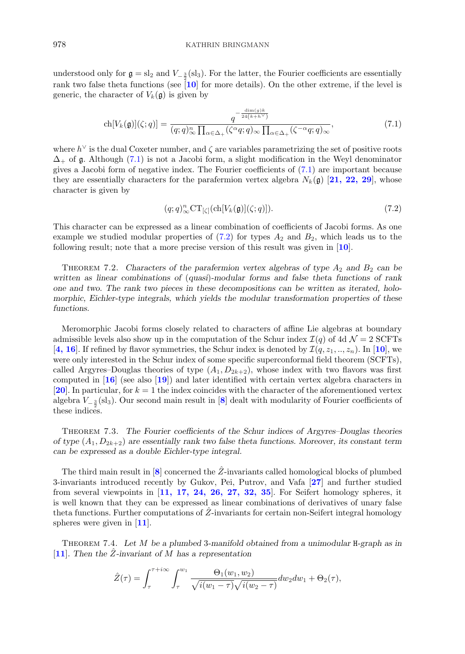understood only for  $\mathfrak{g} = \mathrm{sl}_2$  and  $V_{-\frac{3}{2}}(\mathrm{sl}_3)$ . For the latter, the Fourier coefficients are essentially rank two false theta functions (see [**[10](#page-16-0)**] for more details). On the other extreme, if the level is generic, the character of  $V_k(\mathfrak{g})$  is given by

$$
\operatorname{ch}[V_k(\mathfrak{g})](\zeta;q)] = \frac{q^{-\frac{\dim(g)k}{24(k+h^\vee)}}}{(q;q)_\infty^n \prod_{\alpha \in \Delta_+} (\zeta^\alpha q;q)_\infty \prod_{\alpha \in \Delta_+} (\zeta^{-\alpha}q;q)_\infty},\tag{7.1}
$$

where  $h^{\vee}$  is the dual Coxeter number, and  $\zeta$  are variables parametrizing the set of positive roots  $\Delta_+$  of g. Although (7.1) is not a Jacobi form, a slight modification in the Weyl denominator gives a Jacobi form of negative index. The Fourier coefficients of (7.1) are important because they are essentially characters for the parafermion vertex algebra  $N_k(\mathfrak{g})$  [[21, 22, 29](#page-16-0)], whose character is given by

$$
(q;q)_{\infty}^n \mathrm{CT}_{[\zeta]}(\mathrm{ch}[V_k(\mathfrak{g})](\zeta;q))). \tag{7.2}
$$

This character can be expressed as a linear combination of coefficients of Jacobi forms. As one example we studied modular properties of  $(7.2)$  for types  $A_2$  and  $B_2$ , which leads us to the following result; note that a more precise version of this result was given in [**[10](#page-16-0)**].

THEOREM 7.2. Characters of the parafermion vertex algebras of type  $A_2$  and  $B_2$  can be *written as linear combinations of* (*quasi*)*-modular forms and false theta functions of rank one and two. The rank two pieces in these decompositions can be written as iterated, holomorphic, Eichler-type integrals, which yields the modular transformation properties of these functions.*

Meromorphic Jacobi forms closely related to characters of affine Lie algebras at boundary admissible levels also show up in the computation of the Schur index  $\mathcal{I}(q)$  of 4d  $\mathcal{N}=2$  SCFTs [[4, 16](#page-16-0)]. If refined by flavor symmetries, the Schur index is denoted by  $\mathcal{I}(q, z_1, \ldots, z_n)$ . In [[10](#page-16-0)], we were only interested in the Schur index of some specific superconformal field theorem (SCFTs), called Argyres–Douglas theories of type  $(A_1, D_{2k+2})$ , whose index with two flavors was first computed in [**[16](#page-16-0)**] (see also [**[19](#page-16-0)**]) and later identified with certain vertex algebra characters in [[20](#page-16-0)]. In particular, for  $k = 1$  the index coincides with the character of the aforementioned vertex algebra V<sup>−</sup> <sup>3</sup> <sup>2</sup> (sl3). Our second main result in [**[8](#page-16-0)**] dealt with modularity of Fourier coefficients of these indices.

Theorem 7.3. *The Fourier coefficients of the Schur indices of Argyres–Douglas theories of type*  $(A_1, D_{2k+2})$  *are essentially rank two false theta functions. Moreover, its constant term can be expressed as a double Eichler-type integral.*

The third main result in  $[8]$  $[8]$  $[8]$  concerned the  $\hat{Z}$ -invariants called homological blocks of plumbed 3-invariants introduced recently by Gukov, Pei, Putrov, and Vafa [**[27](#page-17-0)**] and further studied from several viewpoints in [**[11, 17, 24, 26, 27, 32, 35](#page-16-0)**]. For Seifert homology spheres, it is well known that they can be expressed as linear combinations of derivatives of unary false theta functions. Further computations of  $\hat{Z}$ -invariants for certain non-Seifert integral homology spheres were given in [**[11](#page-16-0)**].

Theorem 7.4. *Let* M *be a plumbed* 3*-manifold obtained from a unimodular* H*-graph as in* [**[11](#page-16-0)**]*. Then the* Zˆ*-invariant of* M *has a representation*

$$
\hat{Z}(\tau) = \int_{\tau}^{\tau + i\infty} \int_{\tau}^{w_1} \frac{\Theta_1(w_1, w_2)}{\sqrt{i(w_1 - \tau)}\sqrt{i(w_2 - \tau)}} dw_2 dw_1 + \Theta_2(\tau),
$$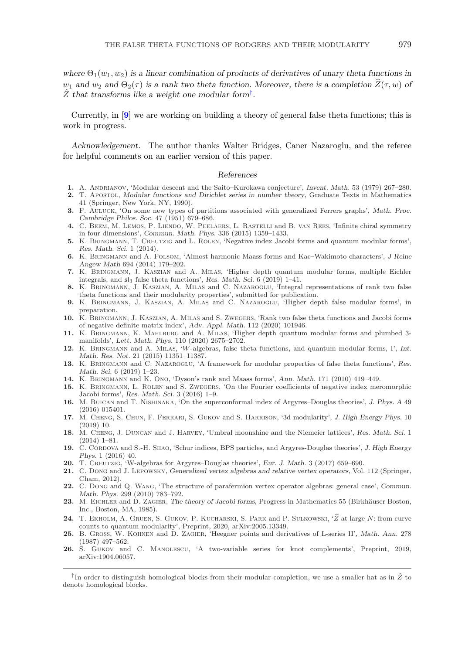<span id="page-16-0"></span>where  $\Theta_1(w_1, w_2)$  *is a linear combination of products of derivatives of unary theta functions in*  $w_1$  and  $w_2$  and  $\Theta_2(\tau)$  is a rank two theta function. Moreover, there is a completion  $\widehat{Z}(\tau,w)$  of  $\hat{Z}$  that transforms like a weight one modular form<sup>†</sup>.

Currently, in [**9**] we are working on building a theory of general false theta functions; this is work in progress.

*Acknowledgement.* The author thanks Walter Bridges, Caner Nazaroglu, and the referee for helpful comments on an earlier version of this paper.

#### *References*

- **1.** A. Andrianov, 'Modular descent and the Saito–Kurokawa conjecture', *Invent. Math.* 53 (1979) 267–280.
- **2.** T. Apostol, *Modular functions and Dirichlet series in number theory*, Graduate Texts in Mathematics 41 (Springer, New York, NY, 1990).
- **3.** F. Auluck, 'On some new types of partitions associated with generalized Ferrers graphs', *Math. Proc. Cambridge Philos. Soc.* 47 (1951) 679–686.
- **4.** C. Beem, M. Lemos, P. Liendo, W. Peelaers, L. Rastelli and B. van Rees, 'Infinite chiral symmetry in four dimensions', *Commun. Math. Phys.* 336 (2015) 1359–1433.
- **5.** K. Bringmann, T. Creutzig and L. Rolen, 'Negative index Jacobi forms and quantum modular forms', *Res. Math. Sci.* 1 (2014).
- **6.** K. Bringmann and A. Folsom, 'Almost harmonic Maass forms and Kac–Wakimoto characters', *J Reine Angew Math* 694 (2014) 179–202.
- **7.** K. Bringmann, J. Kaszian and A. Milas, 'Higher depth quantum modular forms, multiple Eichler integrals, and sl<sup>3</sup> false theta functions', *Res. Math. Sci.* 6 (2019) 1–41.
- **8.** K. Bringmann, J. Kaszian, A. Milas and C. Nazaroglu, 'Integral representations of rank two false theta functions and their modularity properties', submitted for publication.
- **9.** K. Bringmann, J. Kaszian, A. Milas and C. Nazaroglu, 'Higher depth false modular forms', in preparation.
- **10.** K. Bringmann, J. Kaszian, A. Milas and S. Zwegers, 'Rank two false theta functions and Jacobi forms of negative definite matrix index', *Adv. Appl. Math.* 112 (2020) 101946.
- **11.** K. Bringmann, K. Mahlburg and A. Milas, 'Higher depth quantum modular forms and plumbed 3 manifolds', *Lett. Math. Phys.* 110 (2020) 2675–2702.
- **12.** K. Bringmann and A. Milas, 'W-algebras, false theta functions, and quantum modular forms, I', *Int. Math. Res. Not.* 21 (2015) 11351–11387.
- **13.** K. Bringmann and C. Nazaroglu, 'A framework for modular properties of false theta functions', *Res. Math. Sci.* 6 (2019) 1–23.
- **14.** K. Bringmann and K. Ono, 'Dyson's rank and Maass forms', *Ann. Math.* 171 (2010) 419–449.
- **15.** K. Bringmann, L. Rolen and S. Zwegers, 'On the Fourier coefficients of negative index meromorphic Jacobi forms', *Res. Math. Sci.* 3 (2016) 1–9.
- **16.** M. Buican and T. Nishinaka, 'On the superconformal index of Argyres–Douglas theories', *J. Phys. A* 49 (2016) 015401.
- **17.** M. Cheng, S. Chun, F. Ferrari, S. Gukov and S. Harrison, '3d modularity', *J. High Energy Phys.* 10 (2019) 10.
- **18.** M. Cheng, J. Duncan and J. Harvey, 'Umbral moonshine and the Niemeier lattices', *Res. Math. Sci.* 1 (2014) 1–81.
- **19.** C. Cordova and S.-H. Shao, 'Schur indices, BPS particles, and Argyres-Douglas theories', *J. High Energy Phys.* 1 (2016) 40.
- **20.** T. Creutzig, 'W-algebras for Argyres–Douglas theories', *Eur. J. Math.* 3 (2017) 659–690.
- **21.** C. Dong and J. Lepowsky, *Generalized vertex algebras and relative vertex operators*, Vol. 112 (Springer, Cham, 2012).
- **22.** C. Dong and Q. Wang, 'The structure of parafermion vertex operator algebras: general case', *Commun. Math. Phys.* 299 (2010) 783–792.
- 23. M. EICHLER and D. ZAGIER, *The theory of Jacobi forms*, Progress in Mathematics 55 (Birkhäuser Boston, Inc., Boston, MA, 1985). Math. Phys. 299 (2010) 783–792.<br> **23.** M. EICHLER and D. ZAGIER, The theory of Jacobi forms, Progress in Mathematics 55 (Birkhäuser Boston, Inc., Boston, MA, 1985).<br> **24.** T. EKHOLM, A. GRUEN, S. GUKOV, P. KUCHARSKI, S. PA
- counts to quantum modularity', Preprint, 2020, arXiv:2005.13349.
- **25.** B. Gross, W. Kohnen and D. Zagier, 'Heegner points and derivatives of L-series II', *Math. Ann.* 278 (1987) 497–562.
- **26.** S. Gukov and C. Manolescu, 'A two-variable series for knot complements', Preprint, 2019, arXiv:1904.06057.

<sup>&</sup>lt;sup>†</sup>In order to distinguish homological blocks from their modular completion, we use a smaller hat as in  $\hat{Z}$  to denote homological blocks.